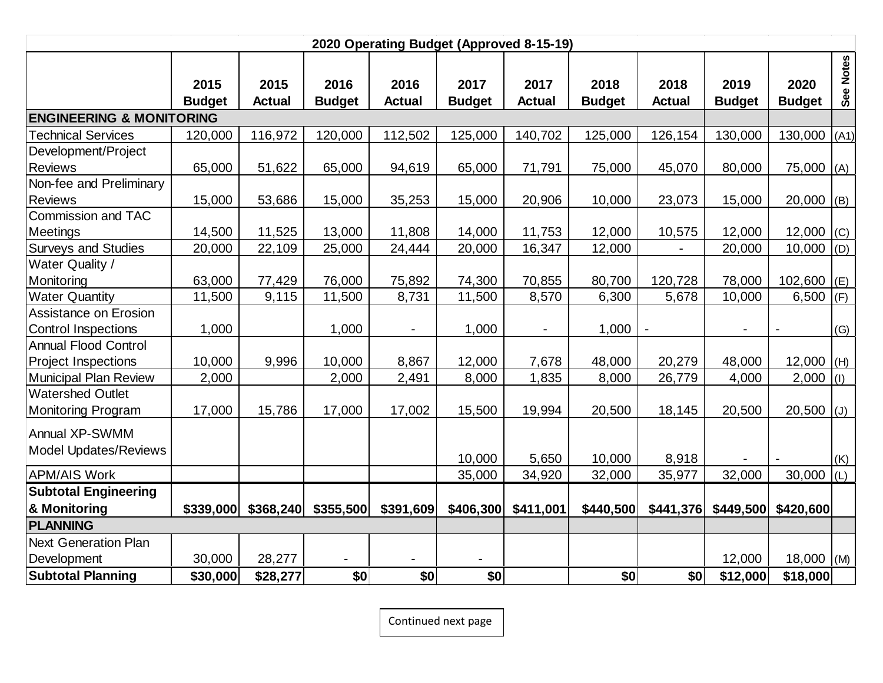| 2020 Operating Budget (Approved 8-15-19) |                       |                       |                       |                       |                       |                       |                       |                       |                       |                       |                |
|------------------------------------------|-----------------------|-----------------------|-----------------------|-----------------------|-----------------------|-----------------------|-----------------------|-----------------------|-----------------------|-----------------------|----------------|
|                                          | 2015<br><b>Budget</b> | 2015<br><b>Actual</b> | 2016<br><b>Budget</b> | 2016<br><b>Actual</b> | 2017<br><b>Budget</b> | 2017<br><b>Actual</b> | 2018<br><b>Budget</b> | 2018<br><b>Actual</b> | 2019<br><b>Budget</b> | 2020<br><b>Budget</b> | See Notes      |
| <b>ENGINEERING &amp; MONITORING</b>      |                       |                       |                       |                       |                       |                       |                       |                       |                       |                       |                |
| <b>Technical Services</b>                | 120,000               | 116,972               | 120,000               | 112,502               | 125,000               | 140,702               | 125,000               | 126,154               | 130,000               | 130,000               | (A1)           |
| Development/Project                      |                       |                       |                       |                       |                       |                       |                       |                       |                       |                       |                |
| <b>Reviews</b>                           | 65,000                | 51,622                | 65,000                | 94,619                | 65,000                | 71,791                | 75,000                | 45,070                | 80,000                | 75,000                | (A)            |
| Non-fee and Preliminary                  |                       |                       |                       |                       |                       |                       |                       |                       |                       |                       |                |
| <b>Reviews</b>                           | 15,000                | 53,686                | 15,000                | 35,253                | 15,000                | 20,906                | 10,000                | 23,073                | 15,000                | 20,000                | (B)            |
| Commission and TAC                       |                       |                       |                       |                       |                       |                       |                       |                       |                       |                       |                |
| Meetings                                 | 14,500                | 11,525                | 13,000                | 11,808                | 14,000                | 11,753                | 12,000                | 10,575                | 12,000                | 12,000                | (C)            |
| <b>Surveys and Studies</b>               | 20,000                | 22,109                | 25,000                | 24,444                | 20,000                | 16,347                | 12,000                |                       | 20,000                | 10,000                | (D)            |
| Water Quality /                          |                       |                       |                       |                       |                       |                       |                       |                       |                       |                       |                |
| Monitoring                               | 63,000                | 77,429                | 76,000                | 75,892                | 74,300                | 70,855                | 80,700                | 120,728               | 78,000                | 102,600               | (E)            |
| <b>Water Quantity</b>                    | 11,500                | 9,115                 | 11,500                | 8,731                 | 11,500                | 8,570                 | 6,300                 | 5,678                 | 10,000                | 6,500                 | (F)            |
| Assistance on Erosion                    |                       |                       |                       |                       |                       |                       |                       |                       |                       |                       |                |
| <b>Control Inspections</b>               | 1,000                 |                       | 1,000                 | $\blacksquare$        | 1,000                 | $\blacksquare$        | 1,000                 |                       |                       |                       | (G)            |
| <b>Annual Flood Control</b>              |                       |                       |                       |                       |                       |                       |                       |                       |                       |                       |                |
| <b>Project Inspections</b>               | 10,000                | 9,996                 | 10,000                | 8,867                 | 12,000                | 7,678                 | 48,000                | 20,279                | 48,000                | 12,000                | (H)            |
| Municipal Plan Review                    | 2,000                 |                       | 2,000                 | 2,491                 | 8,000                 | 1,835                 | 8,000                 | 26,779                | 4,000                 | 2,000                 | (I)            |
| <b>Watershed Outlet</b>                  |                       |                       |                       |                       |                       |                       |                       |                       |                       |                       |                |
| <b>Monitoring Program</b>                | 17,000                | 15,786                | 17,000                | 17,002                | 15,500                | 19,994                | 20,500                | 18,145                | 20,500                | 20,500                | $(\mathsf{U})$ |
| Annual XP-SWMM                           |                       |                       |                       |                       |                       |                       |                       |                       |                       |                       |                |
| <b>Model Updates/Reviews</b>             |                       |                       |                       |                       |                       |                       |                       |                       |                       |                       |                |
|                                          |                       |                       |                       |                       | 10,000                | 5,650                 | 10,000                | 8,918                 |                       |                       | (K)            |
| <b>APM/AIS Work</b>                      |                       |                       |                       |                       | 35,000                | 34,920                | 32,000                | 35,977                | 32,000                | 30,000                | (L)            |
| <b>Subtotal Engineering</b>              |                       |                       |                       |                       |                       |                       |                       |                       |                       |                       |                |
| & Monitoring                             | \$339,000             | \$368,240             | \$355,500             | \$391,609             | \$406,300             | \$411,001             | \$440,500             | \$441,376             | \$449,500             | \$420,600             |                |
| <b>PLANNING</b>                          |                       |                       |                       |                       |                       |                       |                       |                       |                       |                       |                |
| <b>Next Generation Plan</b>              |                       |                       |                       |                       |                       |                       |                       |                       |                       |                       |                |
| Development                              | 30,000                | 28,277                |                       |                       | $\blacksquare$        |                       |                       |                       | 12,000                | $18,000$ (M)          |                |
| <b>Subtotal Planning</b>                 | \$30,000              | \$28,277              | \$0                   | \$0                   | \$0                   |                       | \$0                   | \$0                   | \$12,000              | \$18,000              |                |

Continued next page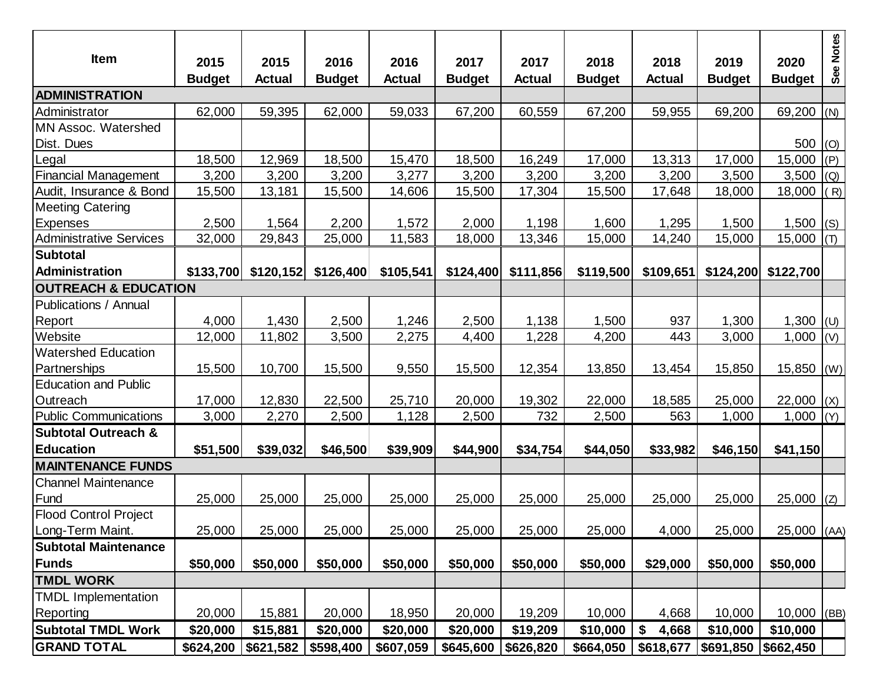| <b>Item</b>                     | 2015          | 2015            | 2016          | 2016          | 2017          | 2017          | 2018          | 2018          | 2019                  | 2020          | See Notes |
|---------------------------------|---------------|-----------------|---------------|---------------|---------------|---------------|---------------|---------------|-----------------------|---------------|-----------|
|                                 | <b>Budget</b> | <b>Actual</b>   | <b>Budget</b> | <b>Actual</b> | <b>Budget</b> | <b>Actual</b> | <b>Budget</b> | <b>Actual</b> | <b>Budget</b>         | <b>Budget</b> |           |
| <b>ADMINISTRATION</b>           |               |                 |               |               |               |               |               |               |                       |               |           |
| Administrator                   | 62,000        | 59,395          | 62,000        | 59,033        | 67,200        | 60,559        | 67,200        | 59,955        | 69,200                | 69,200 (N)    |           |
| MN Assoc. Watershed             |               |                 |               |               |               |               |               |               |                       |               |           |
| Dist. Dues                      |               |                 |               |               |               |               |               |               |                       | 500  (0)      |           |
| Legal                           | 18,500        | 12,969          | 18,500        | 15,470        | 18,500        | 16,249        | 17,000        | 13,313        | 17,000                | 15,000        | (P)       |
| <b>Financial Management</b>     | 3,200         | 3,200           | 3,200         | 3,277         | 3,200         | 3,200         | 3,200         | 3,200         | 3,500                 | 3,500         | (Q)       |
| Audit, Insurance & Bond         | 15,500        | 13,181          | 15,500        | 14,606        | 15,500        | 17,304        | 15,500        | 17,648        | 18,000                | 18,000        | (R)       |
| <b>Meeting Catering</b>         |               |                 |               |               |               |               |               |               |                       |               |           |
| Expenses                        | 2,500         | 1,564<br>29,843 | 2,200         | 1,572         | 2,000         | 1,198         | 1,600         | 1,295         | 1,500                 | 1,500 $ (S)$  |           |
| <b>Administrative Services</b>  | 32,000        |                 | 25,000        | 11,583        | 18,000        | 13,346        | 15,000        | 14,240        | 15,000                | 15,000        | (T)       |
| Subtotal<br>Administration      | \$133,700     | \$120,152       | \$126,400     | \$105,541     | \$124,400     | \$111,856     | \$119,500     | \$109,651     | \$124,200             | \$122,700     |           |
| <b>OUTREACH &amp; EDUCATION</b> |               |                 |               |               |               |               |               |               |                       |               |           |
| <b>Publications / Annual</b>    |               |                 |               |               |               |               |               |               |                       |               |           |
| Report                          | 4,000         | 1,430           | 2,500         | 1,246         | 2,500         | 1,138         | 1,500         | 937           | 1,300                 | 1,300 $ U $   |           |
| Website                         | 12,000        | 11,802          | 3,500         | 2,275         | 4,400         | 1,228         | 4,200         | 443           | 3,000                 | 1,000         | (V)       |
| <b>Watershed Education</b>      |               |                 |               |               |               |               |               |               |                       |               |           |
| Partnerships                    | 15,500        | 10,700          | 15,500        | 9,550         | 15,500        | 12,354        | 13,850        | 13,454        | 15,850                | $15,850$ (W)  |           |
| <b>Education and Public</b>     |               |                 |               |               |               |               |               |               |                       |               |           |
| Outreach                        | 17,000        | 12,830          | 22,500        | 25,710        | 20,000        | 19,302        | 22,000        | 18,585        | 25,000                | $22,000$ (X)  |           |
| <b>Public Communications</b>    | 3,000         | 2,270           | 2,500         | 1,128         | 2,500         | 732           | 2,500         | 563           | 1,000                 | 1,000         | (Y)       |
| <b>Subtotal Outreach &amp;</b>  |               |                 |               |               |               |               |               |               |                       |               |           |
| <b>Education</b>                | \$51,500      | \$39,032        | \$46,500      | \$39,909      | \$44,900      | \$34,754      | \$44,050      | \$33,982      | \$46,150              | \$41,150      |           |
| <b>MAINTENANCE FUNDS</b>        |               |                 |               |               |               |               |               |               |                       |               |           |
| <b>Channel Maintenance</b>      |               |                 |               |               |               |               |               |               |                       |               |           |
| Fund                            | 25,000        | 25,000          | 25,000        | 25,000        | 25,000        | 25,000        | 25,000        | 25,000        | 25,000                | 25,000        | (Z)       |
| <b>Flood Control Project</b>    |               |                 |               |               |               |               |               |               |                       |               |           |
| Long-Term Maint.                | 25,000        | 25,000          | 25,000        | 25,000        | 25,000        | 25,000        | 25,000        | 4,000         | 25,000                | $25,000$ (AA) |           |
| <b>Subtotal Maintenance</b>     |               |                 |               |               |               |               |               |               |                       |               |           |
| Funds                           | \$50,000      | \$50,000        | \$50,000      | \$50,000      | \$50,000      | \$50,000      | \$50,000      | \$29,000      | \$50,000              | \$50,000      |           |
| <b>TMDL WORK</b>                |               |                 |               |               |               |               |               |               |                       |               |           |
| <b>TMDL Implementation</b>      |               |                 |               |               |               |               |               |               |                       |               |           |
| Reporting                       | 20,000        | 15,881          | 20,000        | 18,950        | 20,000        | 19,209        | 10,000        | 4,668         | 10,000                | $10,000$ (BB) |           |
| <b>Subtotal TMDL Work</b>       | \$20,000      | \$15,881        | \$20,000      | \$20,000      | \$20,000      | \$19,209      | \$10,000      | 4,668<br>\$   | \$10,000              | \$10,000      |           |
| <b>GRAND TOTAL</b>              | \$624,200     | \$621,582       | \$598,400     | \$607,059     | \$645,600     | \$626,820     | \$664,050     | \$618,677     | $$691,850$ $$662,450$ |               |           |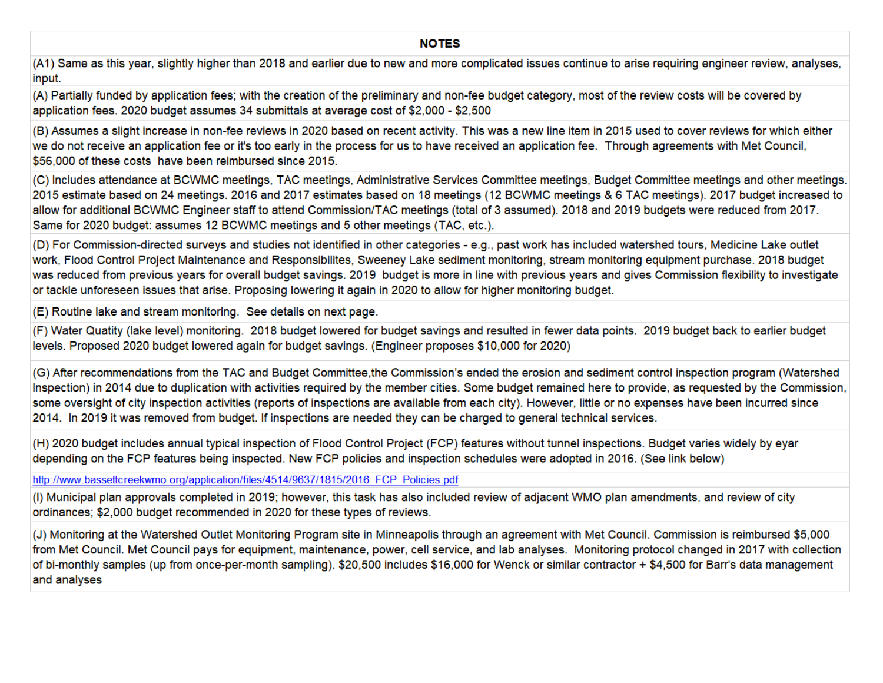#### **NOTES**

(A1) Same as this year, slightly higher than 2018 and earlier due to new and more complicated issues continue to arise requiring engineer review, analyses, input.

(A) Partially funded by application fees; with the creation of the preliminary and non-fee budget category, most of the review costs will be covered by application fees. 2020 budget assumes 34 submittals at average cost of \$2,000 - \$2,500

(B) Assumes a slight increase in non-fee reviews in 2020 based on recent activity. This was a new line item in 2015 used to cover reviews for which either we do not receive an application fee or it's too early in the process for us to have received an application fee. Through agreements with Met Council, \$56,000 of these costs have been reimbursed since 2015.

(C) Includes attendance at BCWMC meetings, TAC meetings, Administrative Services Committee meetings, Budget Committee meetings and other meetings. 2015 estimate based on 24 meetings. 2016 and 2017 estimates based on 18 meetings (12 BCWMC meetings & 6 TAC meetings). 2017 budget increased to allow for additional BCWMC Engineer staff to attend Commission/TAC meetings (total of 3 assumed). 2018 and 2019 budgets were reduced from 2017. Same for 2020 budget: assumes 12 BCWMC meetings and 5 other meetings (TAC, etc.).

(D) For Commission-directed surveys and studies not identified in other categories - e.g., past work has included watershed tours, Medicine Lake outlet work, Flood Control Project Maintenance and Responsibilites, Sweeney Lake sediment monitoring, stream monitoring equipment purchase. 2018 budget was reduced from previous years for overall budget savings. 2019 budget is more in line with previous years and gives Commission flexibility to investigate or tackle unforeseen issues that arise. Proposing lowering it again in 2020 to allow for higher monitoring budget.

(E) Routine lake and stream monitoring. See details on next page.

(F) Water Quatity (lake level) monitoring. 2018 budget lowered for budget savings and resulted in fewer data points. 2019 budget back to earlier budget levels. Proposed 2020 budget lowered again for budget savings. (Engineer proposes \$10,000 for 2020)

(G) After recommendations from the TAC and Budget Committee, the Commission's ended the erosion and sediment control inspection program (Watershed Inspection) in 2014 due to duplication with activities required by the member cities. Some budget remained here to provide, as requested by the Commission, some oversight of city inspection activities (reports of inspections are available from each city). However, little or no expenses have been incurred since 2014. In 2019 it was removed from budget. If inspections are needed they can be charged to general technical services.

(H) 2020 budget includes annual typical inspection of Flood Control Project (FCP) features without tunnel inspections. Budget varies widely by eyar depending on the FCP features being inspected. New FCP policies and inspection schedules were adopted in 2016. (See link below)

http://www.bassettcreekwmo.org/application/files/4514/9637/1815/2016 FCP Policies.pdf

(I) Municipal plan approvals completed in 2019; however, this task has also included review of adjacent WMO plan amendments, and review of city ordinances; \$2,000 budget recommended in 2020 for these types of reviews.

(J) Monitoring at the Watershed Outlet Monitoring Program site in Minneapolis through an agreement with Met Council. Commission is reimbursed \$5,000 from Met Council. Met Council pays for equipment, maintenance, power, cell service, and lab analyses. Monitoring protocol changed in 2017 with collection of bi-monthly samples (up from once-per-month sampling). \$20,500 includes \$16,000 for Wenck or similar contractor + \$4,500 for Barr's data management and analyses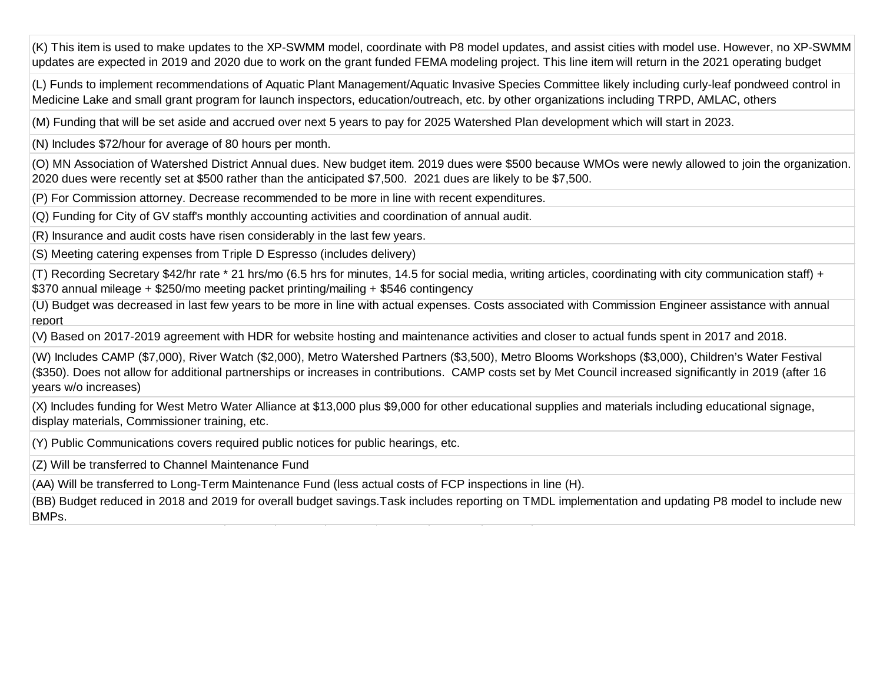(K) This item is used to make updates to the XP-SWMM model, coordinate with P8 model updates, and assist cities with model use. However, no XP-SWMM updates are expected in 2019 and 2020 due to work on the grant funded FEMA modeling project. This line item will return in the 2021 operating budget

(L) Funds to implement recommendations of Aquatic Plant Management/Aquatic Invasive Species Committee likely including curly-leaf pondweed control in Medicine Lake and small grant program for launch inspectors, education/outreach, etc. by other organizations including TRPD, AMLAC, others

(M) Funding that will be set aside and accrued over next 5 years to pay for 2025 Watershed Plan development which will start in 2023.

(N) Includes \$72/hour for average of 80 hours per month.

(O) MN Association of Watershed District Annual dues. New budget item. 2019 dues were \$500 because WMOs were newly allowed to join the organization. 2020 dues were recently set at \$500 rather than the anticipated \$7,500. 2021 dues are likely to be \$7,500.

(P) For Commission attorney. Decrease recommended to be more in line with recent expenditures.

(Q) Funding for City of GV staff's monthly accounting activities and coordination of annual audit.

(R) Insurance and audit costs have risen considerably in the last few years.

(S) Meeting catering expenses from Triple D Espresso (includes delivery)

(T) Recording Secretary \$42/hr rate \* 21 hrs/mo (6.5 hrs for minutes, 14.5 for social media, writing articles, coordinating with city communication staff) + \$370 annual mileage + \$250/mo meeting packet printing/mailing + \$546 contingency

(U) Budget was decreased in last few years to be more in line with actual expenses. Costs associated with Commission Engineer assistance with annual report

(V) Based on 2017-2019 agreement with HDR for website hosting and maintenance activities and closer to actual funds spent in 2017 and 2018.

(W) Includes CAMP (\$7,000), River Watch (\$2,000), Metro Watershed Partners (\$3,500), Metro Blooms Workshops (\$3,000), Children's Water Festival (\$350). Does not allow for additional partnerships or increases in contributions. CAMP costs set by Met Council increased significantly in 2019 (after 16 years w/o increases)

(X) Includes funding for West Metro Water Alliance at \$13,000 plus \$9,000 for other educational supplies and materials including educational signage, display materials, Commissioner training, etc.

(Y) Public Communications covers required public notices for public hearings, etc.

(Z) Will be transferred to Channel Maintenance Fund

(AA) Will be transferred to Long-Term Maintenance Fund (less actual costs of FCP inspections in line (H).

(BB) Budget reduced in 2018 and 2019 for overall budget savings.Task includes reporting on TMDL implementation and updating P8 model to include new BMPs.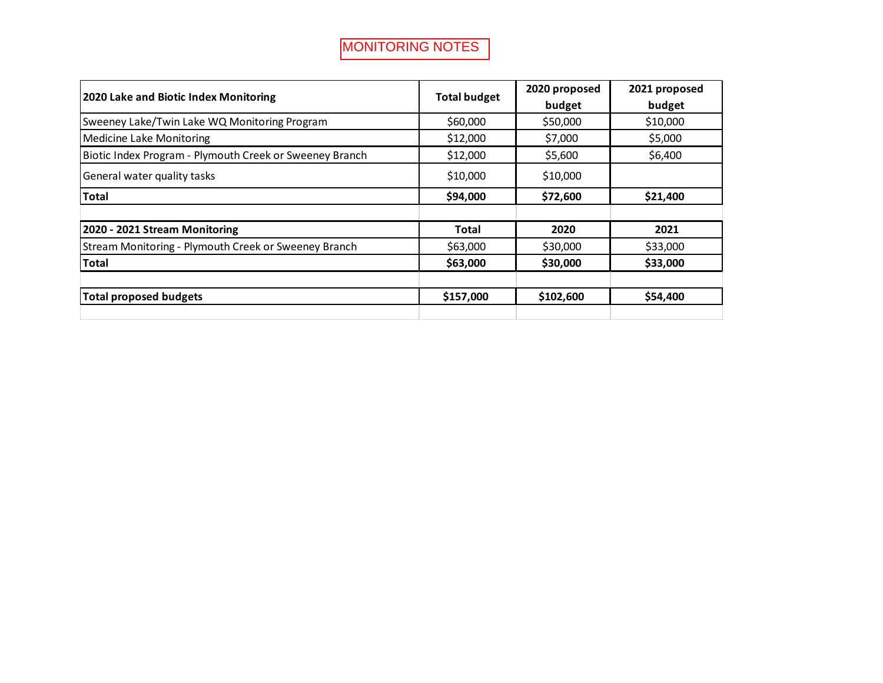| 2020 Lake and Biotic Index Monitoring                   |                               | 2020 proposed | 2021 proposed |
|---------------------------------------------------------|-------------------------------|---------------|---------------|
|                                                         | <b>Total budget</b><br>budget |               | budget        |
| Sweeney Lake/Twin Lake WQ Monitoring Program            | \$60,000                      | \$50,000      | \$10,000      |
| Medicine Lake Monitoring                                | \$12,000                      | \$7,000       | \$5,000       |
| Biotic Index Program - Plymouth Creek or Sweeney Branch | \$12,000                      | \$5,600       | \$6,400       |
| General water quality tasks                             | \$10,000                      | \$10,000      |               |
| <b>Total</b>                                            | \$94,000                      | \$72,600      | \$21,400      |
|                                                         |                               |               |               |
| 2020 - 2021 Stream Monitoring                           | Total                         | 2020          | 2021          |
| Stream Monitoring - Plymouth Creek or Sweeney Branch    | \$63,000                      | \$30,000      | \$33,000      |
| Total                                                   | \$63,000                      | \$30,000      | \$33,000      |
|                                                         |                               |               |               |
| Total proposed budgets                                  | \$157,000                     | \$102,600     | \$54,400      |
|                                                         |                               |               |               |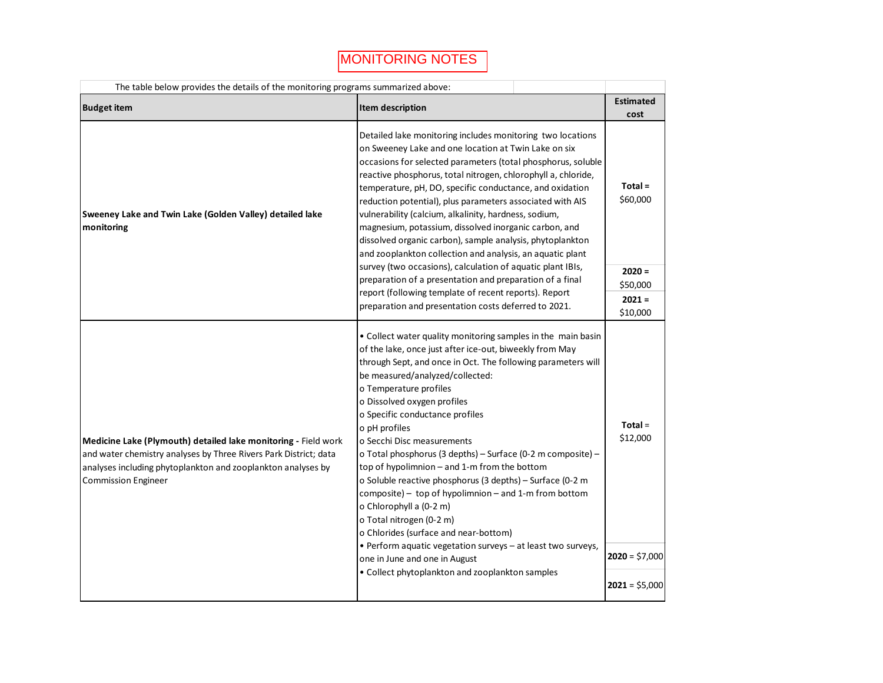| The table below provides the details of the monitoring programs summarized above:                                                                                                                                                |                                                                                                                                                                                                                                                                                                                                                                                                                                                                                                                                                                                                                                                                                                                                                                                                                                                                |                                          |  |  |  |  |  |  |
|----------------------------------------------------------------------------------------------------------------------------------------------------------------------------------------------------------------------------------|----------------------------------------------------------------------------------------------------------------------------------------------------------------------------------------------------------------------------------------------------------------------------------------------------------------------------------------------------------------------------------------------------------------------------------------------------------------------------------------------------------------------------------------------------------------------------------------------------------------------------------------------------------------------------------------------------------------------------------------------------------------------------------------------------------------------------------------------------------------|------------------------------------------|--|--|--|--|--|--|
| <b>Budget item</b>                                                                                                                                                                                                               | Item description                                                                                                                                                                                                                                                                                                                                                                                                                                                                                                                                                                                                                                                                                                                                                                                                                                               | <b>Estimated</b><br>cost                 |  |  |  |  |  |  |
| Sweeney Lake and Twin Lake (Golden Valley) detailed lake<br>monitoring                                                                                                                                                           | Detailed lake monitoring includes monitoring two locations<br>on Sweeney Lake and one location at Twin Lake on six<br>occasions for selected parameters (total phosphorus, soluble<br>reactive phosphorus, total nitrogen, chlorophyll a, chloride,<br>temperature, pH, DO, specific conductance, and oxidation<br>reduction potential), plus parameters associated with AIS<br>vulnerability (calcium, alkalinity, hardness, sodium,<br>magnesium, potassium, dissolved inorganic carbon, and<br>dissolved organic carbon), sample analysis, phytoplankton<br>and zooplankton collection and analysis, an aquatic plant                                                                                                                                                                                                                                       | $Total =$<br>\$60,000                    |  |  |  |  |  |  |
|                                                                                                                                                                                                                                  | survey (two occasions), calculation of aquatic plant IBIs,<br>preparation of a presentation and preparation of a final<br>report (following template of recent reports). Report                                                                                                                                                                                                                                                                                                                                                                                                                                                                                                                                                                                                                                                                                | $2020 =$<br>\$50,000                     |  |  |  |  |  |  |
|                                                                                                                                                                                                                                  | preparation and presentation costs deferred to 2021.                                                                                                                                                                                                                                                                                                                                                                                                                                                                                                                                                                                                                                                                                                                                                                                                           | $2021 =$<br>\$10,000                     |  |  |  |  |  |  |
| Medicine Lake (Plymouth) detailed lake monitoring - Field work<br>and water chemistry analyses by Three Rivers Park District; data<br>analyses including phytoplankton and zooplankton analyses by<br><b>Commission Engineer</b> | • Collect water quality monitoring samples in the main basin<br>of the lake, once just after ice-out, biweekly from May<br>through Sept, and once in Oct. The following parameters will<br>be measured/analyzed/collected:<br>o Temperature profiles<br>o Dissolved oxygen profiles<br>o Specific conductance profiles<br>o pH profiles<br>o Secchi Disc measurements<br>o Total phosphorus (3 depths) - Surface (0-2 m composite) -<br>top of hypolimnion - and 1-m from the bottom<br>o Soluble reactive phosphorus (3 depths) - Surface (0-2 m<br>composite) - top of hypolimnion - and 1-m from bottom<br>o Chlorophyll a (0-2 m)<br>o Total nitrogen (0-2 m)<br>o Chlorides (surface and near-bottom)<br>• Perform aquatic vegetation surveys - at least two surveys,<br>one in June and one in August<br>• Collect phytoplankton and zooplankton samples | $Total =$<br>\$12,000<br>$2020 = $7,000$ |  |  |  |  |  |  |
|                                                                                                                                                                                                                                  |                                                                                                                                                                                                                                                                                                                                                                                                                                                                                                                                                                                                                                                                                                                                                                                                                                                                | $2021 = $5,000$                          |  |  |  |  |  |  |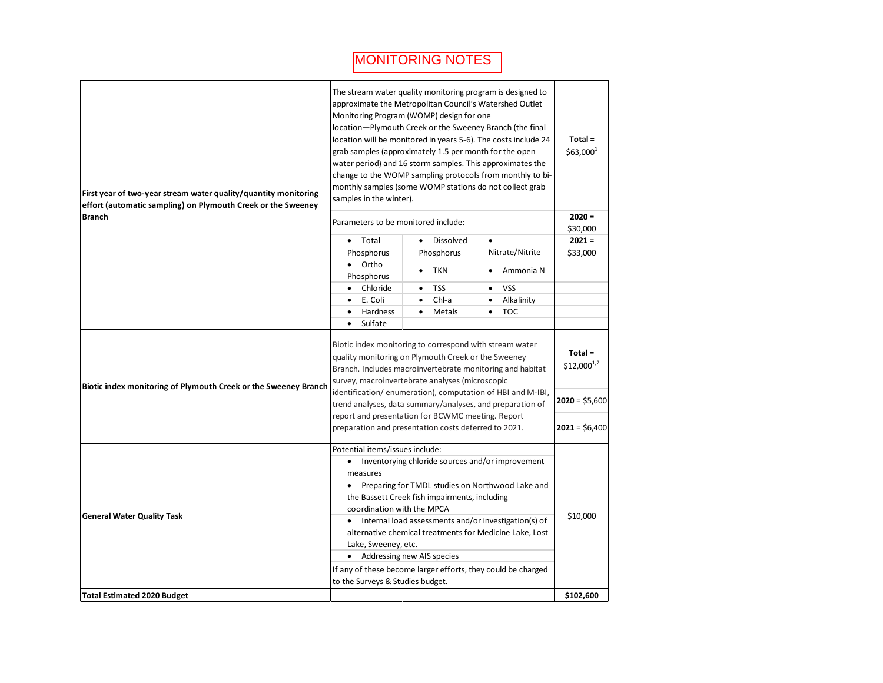| First year of two-year stream water quality/quantity monitoring<br>effort (automatic sampling) on Plymouth Creek or the Sweeney | The stream water quality monitoring program is designed to<br>approximate the Metropolitan Council's Watershed Outlet<br>Monitoring Program (WOMP) design for one<br>location-Plymouth Creek or the Sweeney Branch (the final<br>location will be monitored in years 5-6). The costs include 24<br>grab samples (approximately 1.5 per month for the open<br>water period) and 16 storm samples. This approximates the<br>change to the WOMP sampling protocols from monthly to bi-<br>monthly samples (some WOMP stations do not collect grab<br>samples in the winter). |  |                                                                                                                                                                                                                                                                                                                                                                                                                |  |                        |                           |                        | $Total =$<br>\$63,000 <sup>1</sup> |                                  |
|---------------------------------------------------------------------------------------------------------------------------------|---------------------------------------------------------------------------------------------------------------------------------------------------------------------------------------------------------------------------------------------------------------------------------------------------------------------------------------------------------------------------------------------------------------------------------------------------------------------------------------------------------------------------------------------------------------------------|--|----------------------------------------------------------------------------------------------------------------------------------------------------------------------------------------------------------------------------------------------------------------------------------------------------------------------------------------------------------------------------------------------------------------|--|------------------------|---------------------------|------------------------|------------------------------------|----------------------------------|
| <b>Branch</b>                                                                                                                   |                                                                                                                                                                                                                                                                                                                                                                                                                                                                                                                                                                           |  | Parameters to be monitored include:                                                                                                                                                                                                                                                                                                                                                                            |  |                        |                           |                        |                                    | $2020 =$                         |
|                                                                                                                                 |                                                                                                                                                                                                                                                                                                                                                                                                                                                                                                                                                                           |  | • Total<br>Phosphorus                                                                                                                                                                                                                                                                                                                                                                                          |  |                        | • Dissolved<br>Phosphorus |                        | Nitrate/Nitrite                    | \$30,000<br>$2021 =$<br>\$33,000 |
|                                                                                                                                 |                                                                                                                                                                                                                                                                                                                                                                                                                                                                                                                                                                           |  | • Ortho<br>Phosphorus                                                                                                                                                                                                                                                                                                                                                                                          |  | $\bullet$              | <b>TKN</b>                |                        | Ammonia N                          |                                  |
|                                                                                                                                 |                                                                                                                                                                                                                                                                                                                                                                                                                                                                                                                                                                           |  | Chloride                                                                                                                                                                                                                                                                                                                                                                                                       |  | ٠                      | <b>TSS</b>                |                        | <b>VSS</b>                         |                                  |
|                                                                                                                                 |                                                                                                                                                                                                                                                                                                                                                                                                                                                                                                                                                                           |  | E. Coli<br>Hardness                                                                                                                                                                                                                                                                                                                                                                                            |  | $\bullet$<br>$\bullet$ | Chl-a<br>Metals           | $\bullet$<br>$\bullet$ | Alkalinity<br><b>TOC</b>           |                                  |
|                                                                                                                                 |                                                                                                                                                                                                                                                                                                                                                                                                                                                                                                                                                                           |  | Sulfate                                                                                                                                                                                                                                                                                                                                                                                                        |  |                        |                           |                        |                                    |                                  |
| Biotic index monitoring of Plymouth Creek or the Sweeney Branch                                                                 |                                                                                                                                                                                                                                                                                                                                                                                                                                                                                                                                                                           |  | Biotic index monitoring to correspond with stream water<br>quality monitoring on Plymouth Creek or the Sweeney<br>Branch. Includes macroinvertebrate monitoring and habitat<br>survey, macroinvertebrate analyses (microscopic<br>identification/enumeration), computation of HBI and M-IBI,<br>trend analyses, data summary/analyses, and preparation of<br>report and presentation for BCWMC meeting. Report |  |                        |                           |                        |                                    |                                  |
|                                                                                                                                 | preparation and presentation costs deferred to 2021.                                                                                                                                                                                                                                                                                                                                                                                                                                                                                                                      |  |                                                                                                                                                                                                                                                                                                                                                                                                                |  |                        |                           |                        | $2021 = $6,400$                    |                                  |
| <b>General Water Quality Task</b>                                                                                               | Potential items/issues include:<br>• Inventorying chloride sources and/or improvement<br>measures<br>Preparing for TMDL studies on Northwood Lake and<br>the Bassett Creek fish impairments, including<br>coordination with the MPCA<br>• Internal load assessments and/or investigation(s) of<br>alternative chemical treatments for Medicine Lake, Lost<br>Lake, Sweeney, etc.<br>• Addressing new AIS species<br>If any of these become larger efforts, they could be charged<br>to the Surveys & Studies budget.                                                      |  |                                                                                                                                                                                                                                                                                                                                                                                                                |  |                        | \$10,000                  |                        |                                    |                                  |
| <b>Total Estimated 2020 Budget</b>                                                                                              |                                                                                                                                                                                                                                                                                                                                                                                                                                                                                                                                                                           |  |                                                                                                                                                                                                                                                                                                                                                                                                                |  |                        |                           |                        |                                    | \$102.600                        |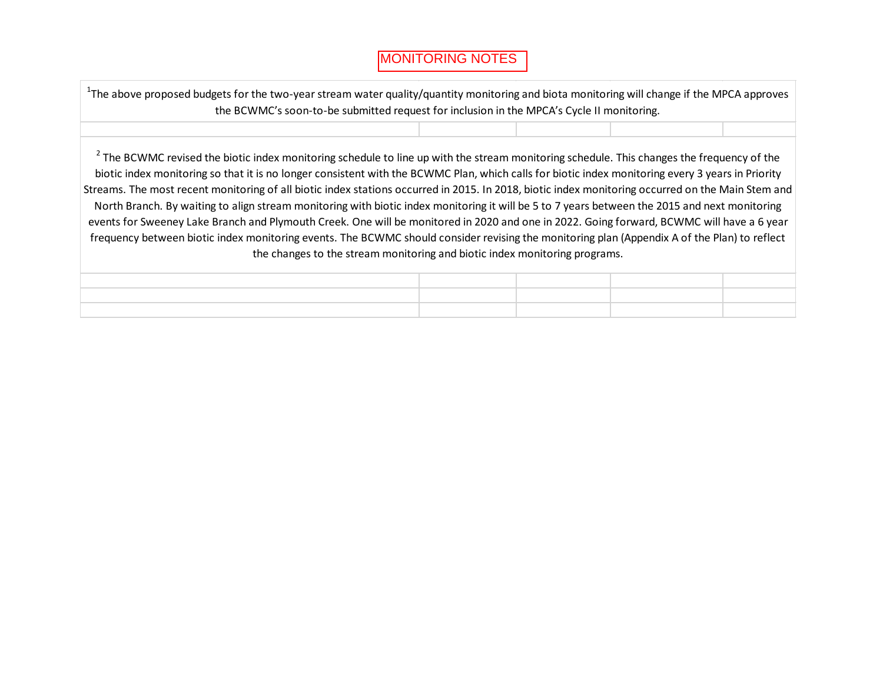| <sup>1</sup> The above proposed budgets for the two-year stream water quality/quantity monitoring and biota monitoring will change if the MPCA approves<br>the BCWMC's soon-to-be submitted request for inclusion in the MPCA's Cycle II monitoring.                                                                                                                                                                                                                                                                                                                                                                                                                                                                                                                                                                                                                                                                                                                                        |  |  |
|---------------------------------------------------------------------------------------------------------------------------------------------------------------------------------------------------------------------------------------------------------------------------------------------------------------------------------------------------------------------------------------------------------------------------------------------------------------------------------------------------------------------------------------------------------------------------------------------------------------------------------------------------------------------------------------------------------------------------------------------------------------------------------------------------------------------------------------------------------------------------------------------------------------------------------------------------------------------------------------------|--|--|
|                                                                                                                                                                                                                                                                                                                                                                                                                                                                                                                                                                                                                                                                                                                                                                                                                                                                                                                                                                                             |  |  |
| <sup>2</sup> The BCWMC revised the biotic index monitoring schedule to line up with the stream monitoring schedule. This changes the frequency of the<br>biotic index monitoring so that it is no longer consistent with the BCWMC Plan, which calls for biotic index monitoring every 3 years in Priority<br>Streams. The most recent monitoring of all biotic index stations occurred in 2015. In 2018, biotic index monitoring occurred on the Main Stem and<br>North Branch. By waiting to align stream monitoring with biotic index monitoring it will be 5 to 7 years between the 2015 and next monitoring<br>events for Sweeney Lake Branch and Plymouth Creek. One will be monitored in 2020 and one in 2022. Going forward, BCWMC will have a 6 year<br>frequency between biotic index monitoring events. The BCWMC should consider revising the monitoring plan (Appendix A of the Plan) to reflect<br>the changes to the stream monitoring and biotic index monitoring programs. |  |  |
|                                                                                                                                                                                                                                                                                                                                                                                                                                                                                                                                                                                                                                                                                                                                                                                                                                                                                                                                                                                             |  |  |
|                                                                                                                                                                                                                                                                                                                                                                                                                                                                                                                                                                                                                                                                                                                                                                                                                                                                                                                                                                                             |  |  |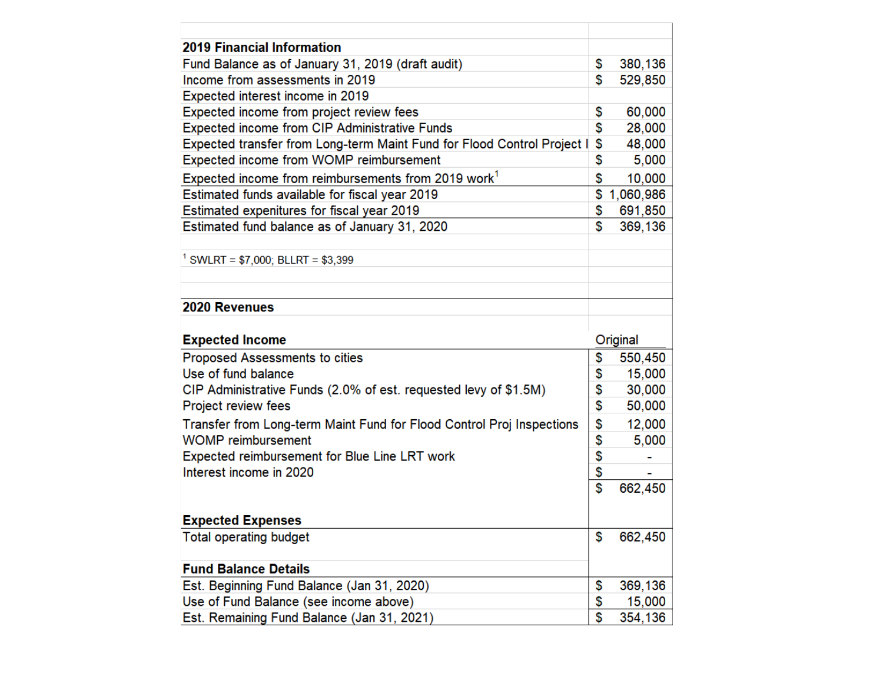| <b>2019 Financial Information</b>                                                                  |                 |
|----------------------------------------------------------------------------------------------------|-----------------|
| Fund Balance as of January 31, 2019 (draft audit)                                                  | \$<br>380,136   |
| Income from assessments in 2019                                                                    | \$<br>529,850   |
| Expected interest income in 2019                                                                   |                 |
| Expected income from project review fees                                                           | \$<br>60,000    |
| <b>Expected income from CIP Administrative Funds</b>                                               | \$<br>28,000    |
| Expected transfer from Long-term Maint Fund for Flood Control Project I                            | \$<br>48,000    |
| Expected income from WOMP reimbursement                                                            | \$<br>5,000     |
| Expected income from reimbursements from 2019 work <sup>1</sup>                                    | \$<br>10,000    |
| Estimated funds available for fiscal year 2019                                                     | \$<br>1,060,986 |
| Estimated expenitures for fiscal year 2019                                                         | \$<br>691,850   |
| Estimated fund balance as of January 31, 2020                                                      | \$<br>369,136   |
|                                                                                                    |                 |
| <sup>1</sup> SWLRT = \$7,000; BLLRT = \$3,399                                                      |                 |
|                                                                                                    |                 |
|                                                                                                    |                 |
| 2020 Revenues                                                                                      |                 |
|                                                                                                    |                 |
|                                                                                                    |                 |
| <b>Expected Income</b>                                                                             | Original        |
| Proposed Assessments to cities                                                                     | \$<br>550,450   |
| Use of fund balance                                                                                | \$<br>15,000    |
| CIP Administrative Funds (2.0% of est. requested levy of \$1.5M)                                   | \$<br>30,000    |
| Project review fees                                                                                | \$<br>50,000    |
|                                                                                                    | \$<br>12,000    |
| Transfer from Long-term Maint Fund for Flood Control Proj Inspections<br><b>WOMP</b> reimbursement | \$<br>5,000     |
| Expected reimbursement for Blue Line LRT work                                                      | \$              |
| Interest income in 2020                                                                            | \$              |
|                                                                                                    | \$<br>662,450   |
|                                                                                                    |                 |
| <b>Expected Expenses</b>                                                                           |                 |
| <b>Total operating budget</b>                                                                      | \$<br>662,450   |
|                                                                                                    |                 |
| <b>Fund Balance Details</b>                                                                        |                 |
| Est. Beginning Fund Balance (Jan 31, 2020)                                                         | \$<br>369,136   |
| Use of Fund Balance (see income above)                                                             | \$<br>15,000    |